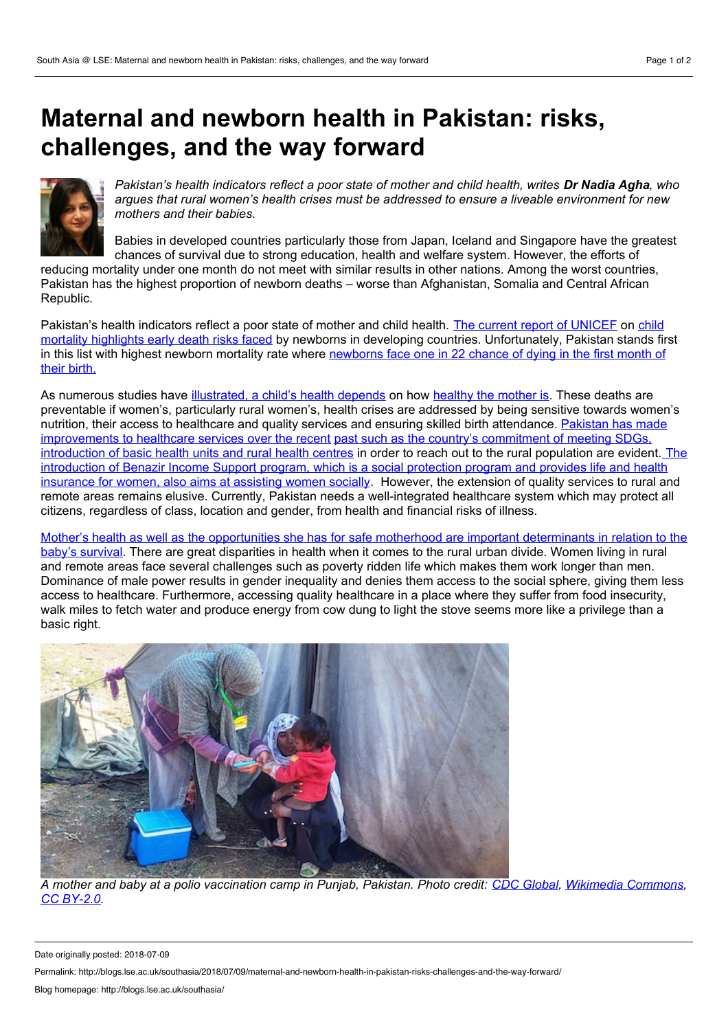## **Maternal and newborn health in Pakistan: risks, challenges, and the way forward**



Pakistan's health indicators reflect a poor state of mother and child health, writes Dr Nadia Agha, who *argues that rural women's health crises must be addressed to ensure a liveable environment for new mothers and their babies.*

Babies in developed countries particularly those from Japan, Iceland and Singapore have the greatest chances of survival due to strong education, health and welfare system. However, the efforts of

reducing mortality under one month do not meet with similar results in other nations. Among the worst countries, Pakistan has the highest proportion of newborn deaths – worse than Afghanistan, Somalia and Central African Republic.

Pakistan's health indicators reflect a poor state of mother and child health. The current report of [UNICEF](https://data.unicef.org/wp-content/uploads/2018/02/Every-Child-Alive-report_FINAL-1.pdf) on child mortality highlights early death risks faced by newborns in developing countries. [Unfortunately,](https://data.unicef.org/wp-content/uploads/2018/02/Every-Child-Alive-report_FINAL-1.pdf) Pakistan stands first in this list with highest newborn mortality rate where [newborns](https://www.samaa.tv/health/2018/02/pakistan-worst-newborn-mortality-unicef/) face one in 22 chance of dying in the first month of their birth.

As numerous studies have [illustrated,](https://www.ncbi.nlm.nih.gov/pmc/articles/PMC2621047/) a child's health depends on how [healthy](https://www.ncbi.nlm.nih.gov/pubmed/15354371) the mother is. These deaths are preventable if women's, particularly rural women's, health crises are addressed by being sensitive towards women's nutrition, their access to healthcare and quality services and ensuring skilled birth attendance. Pakistan has made [improvements](https://pdfs.semanticscholar.org/178f/79039bb1c5cb826d957d27825f8a692020c9.pdf) to healthcare services over the recent past such as the country's commitment of meeting SDGs, [introduction](http://www.finance.gov.pk/survey/chapters_18/12-Population.pdf) of basic health units and rural health centres in order to reach out to the rural population are evident. The introduction of Benazir Income Support program, which is a social protection program and provides life and health insurance for women, also aims at assisting women socially. However, the extension of quality services to rural and remote areas remains elusive. Currently, Pakistan needs a well-integrated healthcare system which may protect all citizens, regardless of class, location and gender, from health and financial risks of illness.

Mother's health as wellas the opportunities she has for safe motherhood are important [determinants](http://www.who.int/bulletin/volumes/85/10/07-045963/en/) in relation to the baby's survival. There are great disparities in health when it comes to the rural urban divide. Women living in rural and remote areas face several challenges such as poverty ridden life which makes them work longer than men. Dominance of male power results in gender inequality and denies them access to the social sphere, giving them less access to healthcare. Furthermore, accessing quality healthcare in a place where they suffer from food insecurity, walk miles to fetch water and produce energy from cow dung to light the stove seems more like a privilege than a basic right.



A mother and baby at a polio vaccination camp in Punjab, Pakistan. Photo credit: CDC [Global](https://www.flickr.com/people/89075068@N07), [Wikimedia](https://commons.wikimedia.org/wiki/File:Polio_Vaccination_Campaign_-_Pakistan_(16435085363).jpg) Commons, *CC [BY-2.0](https://creativecommons.org/licenses/by/2.0/deed.en).*

Date originally posted: 2018-07-09

Permalink: http://blogs.lse.ac.uk/southasia/2018/07/09/maternal-and-newborn-health-in-pakistan-risks-challenges-and-the-way-forward/